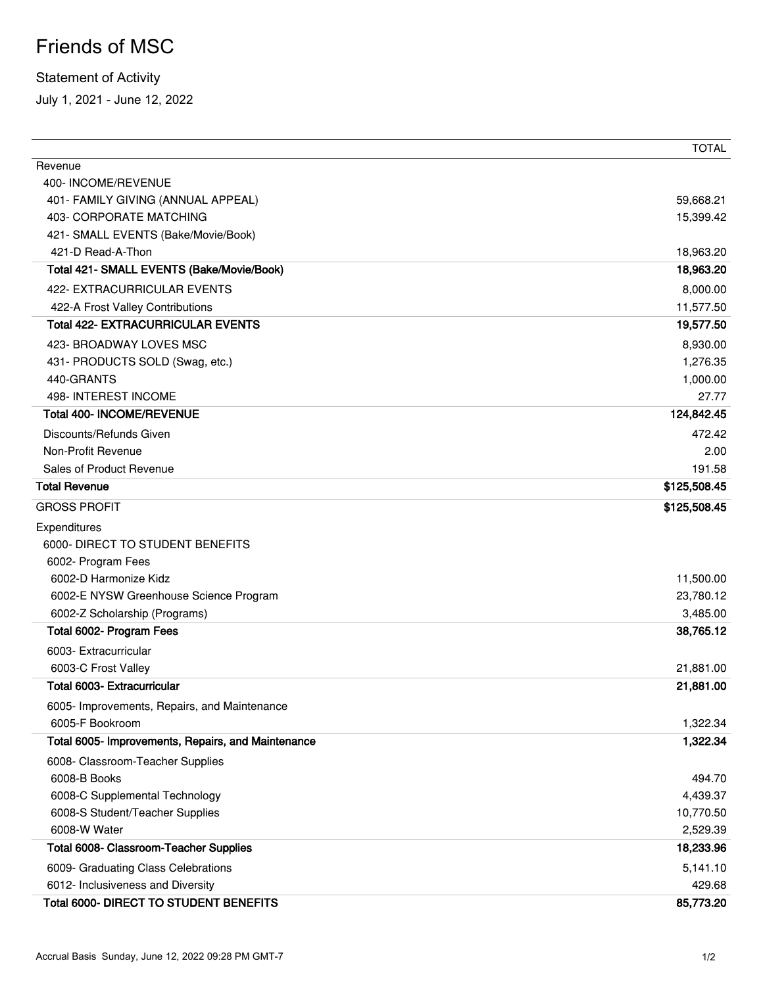## Friends of MSC

## Statement of Activity

July 1, 2021 - June 12, 2022

|                                                    | <b>TOTAL</b> |
|----------------------------------------------------|--------------|
| Revenue                                            |              |
| 400- INCOME/REVENUE                                |              |
| 401- FAMILY GIVING (ANNUAL APPEAL)                 | 59,668.21    |
| <b>403- CORPORATE MATCHING</b>                     | 15,399.42    |
| 421- SMALL EVENTS (Bake/Movie/Book)                |              |
| 421-D Read-A-Thon                                  | 18,963.20    |
| Total 421- SMALL EVENTS (Bake/Movie/Book)          | 18,963.20    |
| 422- EXTRACURRICULAR EVENTS                        | 8,000.00     |
| 422-A Frost Valley Contributions                   | 11,577.50    |
| <b>Total 422- EXTRACURRICULAR EVENTS</b>           | 19,577.50    |
| 423- BROADWAY LOVES MSC                            | 8,930.00     |
| 431- PRODUCTS SOLD (Swag, etc.)                    | 1,276.35     |
| 440-GRANTS                                         | 1,000.00     |
| 498- INTEREST INCOME                               | 27.77        |
| <b>Total 400- INCOME/REVENUE</b>                   | 124,842.45   |
| Discounts/Refunds Given                            | 472.42       |
| Non-Profit Revenue                                 | 2.00         |
| Sales of Product Revenue                           | 191.58       |
| <b>Total Revenue</b>                               | \$125,508.45 |
| <b>GROSS PROFIT</b>                                | \$125,508.45 |
| Expenditures                                       |              |
| 6000- DIRECT TO STUDENT BENEFITS                   |              |
| 6002- Program Fees                                 |              |
| 6002-D Harmonize Kidz                              | 11,500.00    |
| 6002-E NYSW Greenhouse Science Program             | 23,780.12    |
| 6002-Z Scholarship (Programs)                      | 3,485.00     |
| Total 6002- Program Fees                           | 38,765.12    |
| 6003- Extracurricular                              |              |
| 6003-C Frost Valley                                | 21,881.00    |
| <b>Total 6003- Extracurricular</b>                 | 21,881.00    |
| 6005- Improvements, Repairs, and Maintenance       |              |
| 6005-F Bookroom                                    | 1,322.34     |
| Total 6005- Improvements, Repairs, and Maintenance | 1,322.34     |
| 6008- Classroom-Teacher Supplies                   |              |
| 6008-B Books                                       | 494.70       |
| 6008-C Supplemental Technology                     | 4,439.37     |
| 6008-S Student/Teacher Supplies                    | 10,770.50    |
| 6008-W Water                                       | 2,529.39     |
| <b>Total 6008- Classroom-Teacher Supplies</b>      | 18,233.96    |
| 6009- Graduating Class Celebrations                | 5,141.10     |
| 6012- Inclusiveness and Diversity                  | 429.68       |
| Total 6000- DIRECT TO STUDENT BENEFITS             | 85,773.20    |